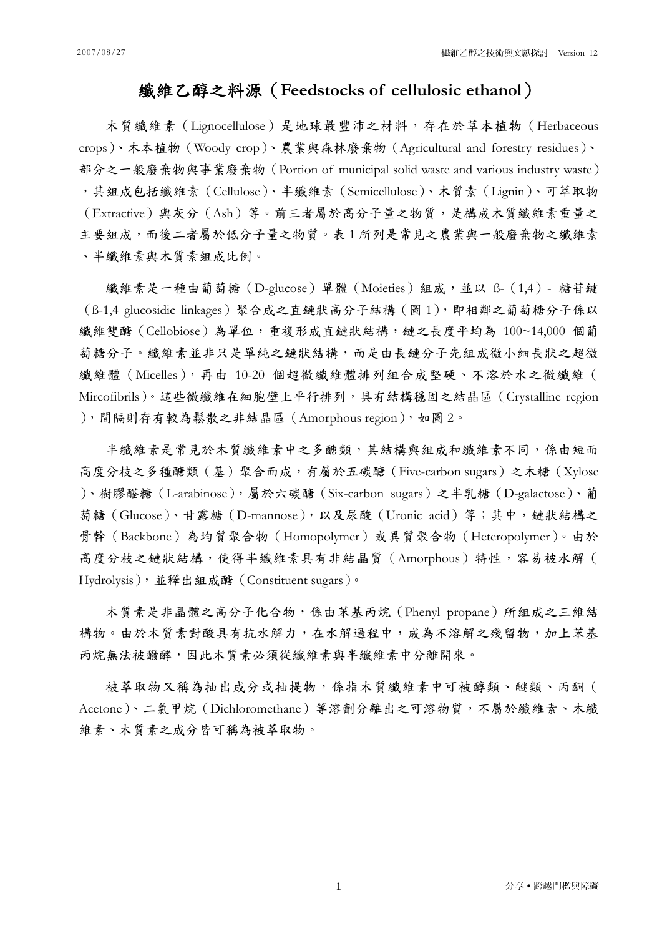## 纖維乙醇之料源(**Feedstocks of cellulosic ethanol**)

木質纖維素(Lignocellulose)是地球最豐沛之材料,存在於草本植物(Herbaceous crops)、木本植物(Woody crop)、農業與森林廢棄物(Agricultural and forestry residues)、 部分之一般廢棄物與事業廢棄物(Portion of municipal solid waste and various industry waste) ,其組成包括纖維素(Cellulose)、半纖維素(Semicellulose)、木質素(Lignin)、可萃取物 (Extractive)與灰分(Ash)等。前三者屬於高分子量之物質,是構成木質纖維素重量之 主要組成,而後二者屬於低分子量之物質。表1所列是常見之農業與一般廢棄物之纖維素 、半纖維素與木質素組成比例。

纖維素是一種由葡萄糖 (D-glucose) 單體 (Moieties) 組成,並以 B- (1,4) - 糖苷鍵 (ß-1,4 glucosidic linkages)聚合成之直鏈狀高分子結構(圖 1),即相鄰之葡萄糖分子係以 纖維雙醣(Cellobiose)為單位,重複形成直鏈狀結構,鏈之長度平均為 100~14,000 個葡 萄糖分子。纖維素並非只是單純之鏈狀結構,而是由長鏈分子先組成微小細長狀之超微 纖維體(Micelles),再由 10-20 個超微纖維體排列組合成堅硬、不溶於水之微纖維( Mircofibrils)。這些微纖維在細胞壁上平行排列,具有結構穩固之結晶區(Crystalline region ),間隔則存有較為鬆散之非結晶區(Amorphous region),如圖 2。

半纖維素是常見於木質纖維素中之多醣類,其結構與組成和纖維素不同,係由短而 高度分枝之多種醣類(基)聚合而成,有屬於五碳醣(Five-carbon sugars)之木糖(Xylose )、樹膠醛糖(L-arabinose),屬於六碳醣(Six-carbon sugars)之半乳糖(D-galactose)、葡 萄糖(Glucose)、甘露糖(D-mannose),以及尿酸(Uronic acid)等;其中,鏈狀結構之 骨幹(Backbone)為均質聚合物(Homopolymer)或異質聚合物(Heteropolymer)。由於 高度分枝之鏈狀結構,使得半纖維素具有非結晶質(Amorphous)特性,容易被水解( Hydrolysis),並釋出組成醣(Constituent sugars)。

木質素是非晶體之高分子化合物,係由苯基丙烷 (Phenyl propane)所組成之三維結 構物。由於木質素對酸具有抗水解力,在水解過程中,成為不溶解之殘留物,加上苯基 丙烷無法被醱酵,因此木質素必須從纖維素與半纖維素中分離開來。

被萃取物又稱為抽出成分或抽提物,係指木質纖維素中可被醇類、醚類、丙酮( Acetone)、二氯甲烷(Dichloromethane)等溶劑分離出之可溶物質,不屬於纖維素、木纖 維素、木質素之成分皆可稱為被萃取物。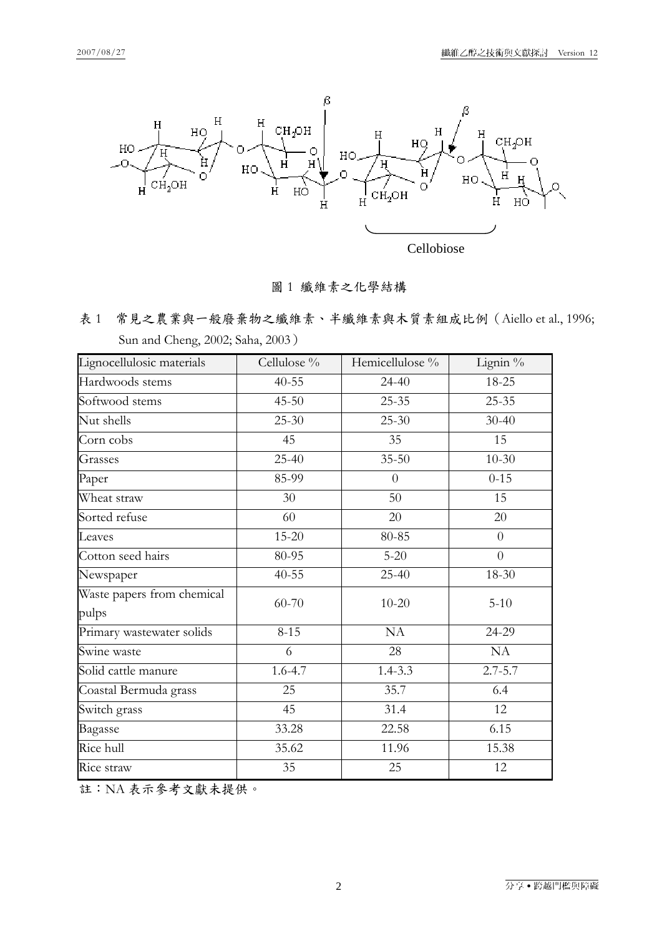

Cellobiose

圖 1 纖維素之化學結構

表 1 常見之農業與一般廢棄物之纖維素、半纖維素與木質素組成比例(Aiello et al., 1996; Sun and Cheng, 2002; Saha, 2003)

| Lignocellulosic materials  | Cellulose % | Hemicellulose % | Lignin %       |
|----------------------------|-------------|-----------------|----------------|
| Hardwoods stems            | $40 - 55$   | $24 - 40$       | 18-25          |
| Softwood stems             | $45 - 50$   | $25 - 35$       | $25 - 35$      |
| Nut shells                 | $25 - 30$   | $25 - 30$       | $30 - 40$      |
| Corn cobs                  | 45          | 35              | 15             |
| Grasses                    | 25-40       | $35 - 50$       | $10 - 30$      |
| Paper                      | 85-99       | $\theta$        | $0 - 15$       |
| Wheat straw                | 30          | 50              | 15             |
| Sorted refuse              | 60          | 20              | 20             |
| Leaves                     | 15-20       | 80-85           | $\overline{0}$ |
| Cotton seed hairs          | 80-95       | $5 - 20$        | $\overline{0}$ |
| Newspaper                  | $40 - 55$   | 25-40           | 18-30          |
| Waste papers from chemical | 60-70       | $10 - 20$       | $5 - 10$       |
| pulps                      |             |                 |                |
| Primary wastewater solids  | $8 - 15$    | <b>NA</b>       | 24-29          |
| Swine waste                | 6           | 28              | NA             |
| Solid cattle manure        | $1.6 - 4.7$ | $1.4 - 3.3$     | $2.7 - 5.7$    |
| Coastal Bermuda grass      | 25          | 35.7            | 6.4            |
| Switch grass               | 45          | 31.4            | 12             |
| Bagasse                    | 33.28       | 22.58           | 6.15           |
| Rice hull                  | 35.62       | 11.96           | 15.38          |
| Rice straw                 | 35          | 25              | 12             |

註:NA 表示參考文獻未提供。